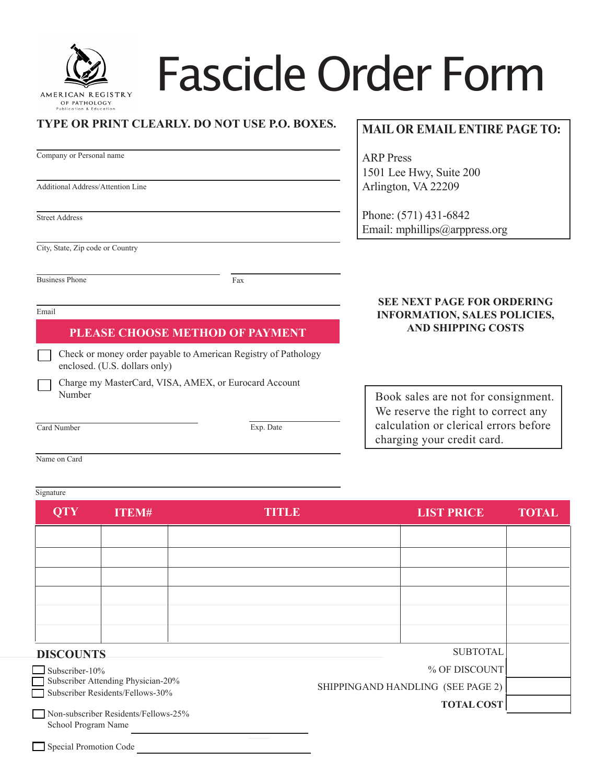

# Fascicle Order Form

#### **TYPE OR PRINT CLEARLY. DO NOT USE P.O. BOXES.**

|                                  | Company or Personal name                                                                        |     |  |  |  |  |  |
|----------------------------------|-------------------------------------------------------------------------------------------------|-----|--|--|--|--|--|
|                                  |                                                                                                 |     |  |  |  |  |  |
|                                  | <b>Additional Address/Attention Line</b>                                                        |     |  |  |  |  |  |
|                                  |                                                                                                 |     |  |  |  |  |  |
|                                  | <b>Street Address</b>                                                                           |     |  |  |  |  |  |
|                                  |                                                                                                 |     |  |  |  |  |  |
| City, State, Zip code or Country |                                                                                                 |     |  |  |  |  |  |
|                                  |                                                                                                 |     |  |  |  |  |  |
| <b>Business Phone</b>            |                                                                                                 | Fax |  |  |  |  |  |
|                                  |                                                                                                 |     |  |  |  |  |  |
| Email                            |                                                                                                 |     |  |  |  |  |  |
| PLEASE CHOOSE METHOD OF PAYMENT  |                                                                                                 |     |  |  |  |  |  |
|                                  | Check or money order payable to American Registry of Pathology<br>enclosed. (U.S. dollars only) |     |  |  |  |  |  |
|                                  | Charge my MasterCard, VISA, AMEX, or Eurocard Account<br>Number                                 |     |  |  |  |  |  |

### **MAIL OR EMAIL ENTIRE PAGE TO:**

ARP Press 1501 Lee Hwy, Suite 200 Arlington, VA 22209

Phone: (571) 431-6842 Email: mphillips[@arppress.org](mailto:mphillips@arppress.org)

#### **SEE NEXT PAGE FOR ORDERING INFORMATION, SALES POLICIES, AND SHIPPING COSTS**

Book sales are not for consignment. We reserve the right to correct any calculation or clerical errors before charging your credit card.

Name on Card

Card Number

#### **Signature**

| <b>QTY</b>            | <b>ITEM#</b>                                                           | <b>TITLE</b> | <b>LIST PRICE</b>                 | <b>TOTAL</b> |
|-----------------------|------------------------------------------------------------------------|--------------|-----------------------------------|--------------|
|                       |                                                                        |              |                                   |              |
|                       |                                                                        |              |                                   |              |
|                       |                                                                        |              |                                   |              |
|                       |                                                                        |              |                                   |              |
|                       |                                                                        |              |                                   |              |
| <b>DISCOUNTS</b>      |                                                                        |              | <b>SUBTOTAL</b>                   |              |
| $\Box$ Subscriber-10% |                                                                        |              | % OF DISCOUNT                     |              |
|                       | Subscriber Attending Physician-20%<br>Subscriber Residents/Fellows-30% |              | SHIPPINGAND HANDLING (SEE PAGE 2) |              |
| School Program Name   | Non-subscriber Residents/Fellows-25%                                   |              | <b>TOTAL COST</b>                 |              |

Exp. Date

Special Promotion Code